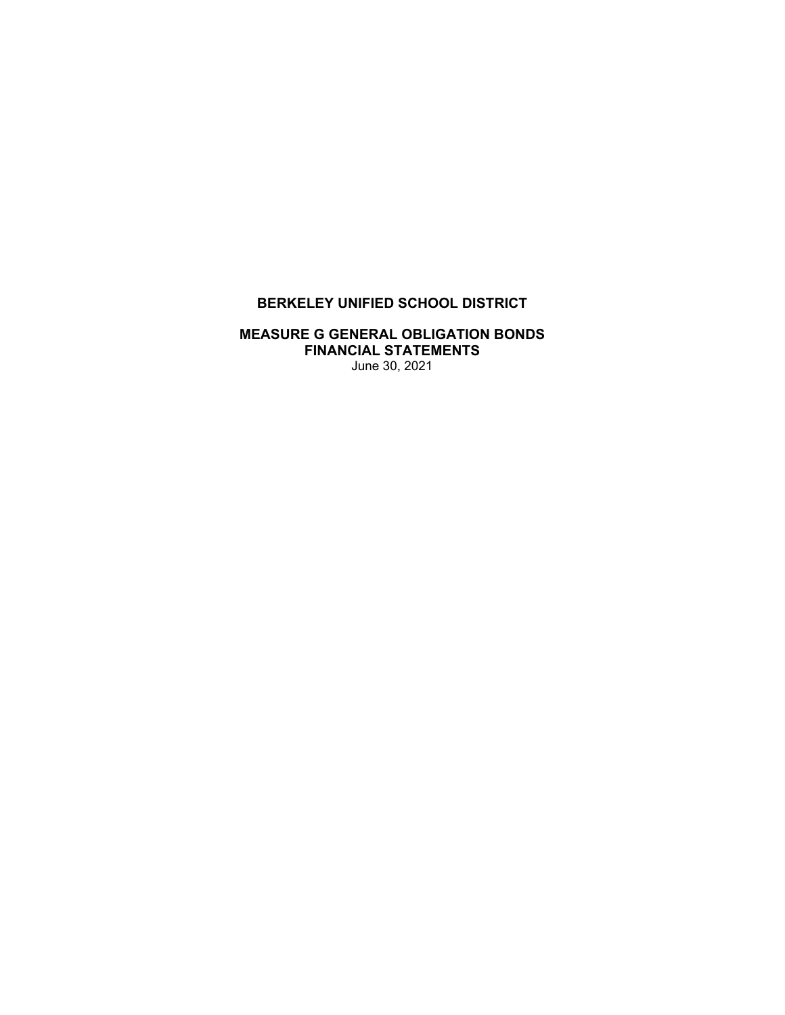# **BERKELEY UNIFIED SCHOOL DISTRICT**

## **MEASURE G GENERAL OBLIGATION BONDS FINANCIAL STATEMENTS**  June 30, 2021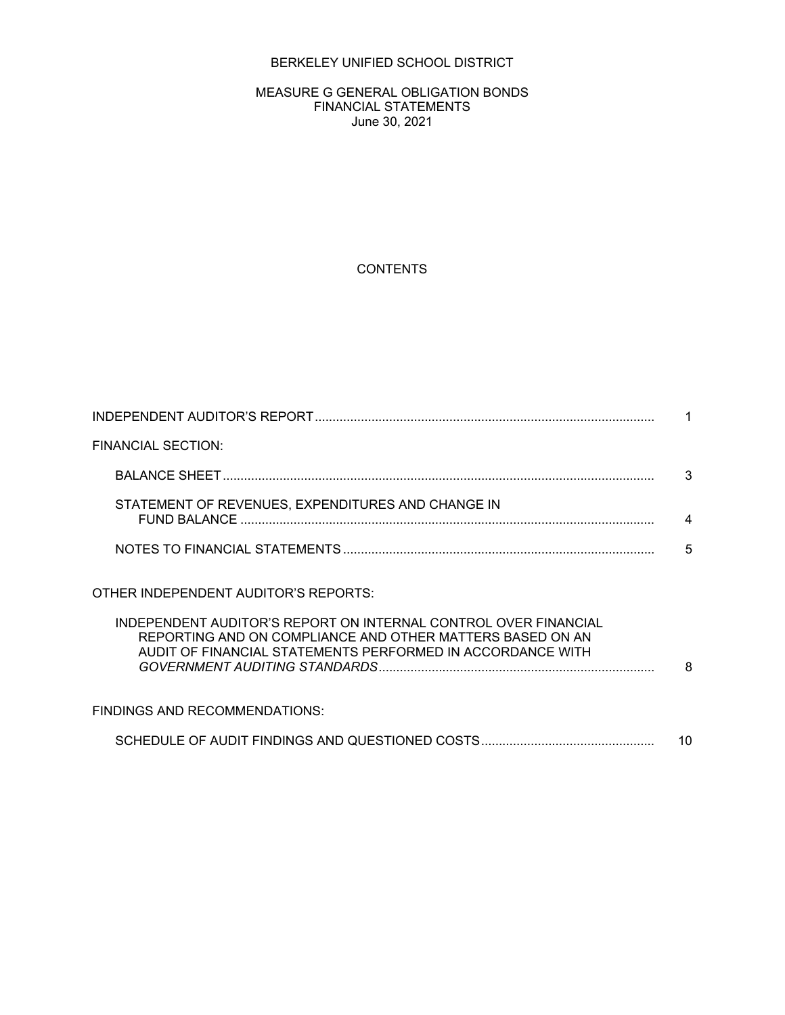## BERKELEY UNIFIED SCHOOL DISTRICT

#### MEASURE G GENERAL OBLIGATION BONDS FINANCIAL STATEMENTS June 30, 2021

## **CONTENTS**

| <b>FINANCIAL SECTION:</b>                                                                                                                                                                                                          |    |
|------------------------------------------------------------------------------------------------------------------------------------------------------------------------------------------------------------------------------------|----|
|                                                                                                                                                                                                                                    | 3  |
| STATEMENT OF REVENUES, EXPENDITURES AND CHANGE IN                                                                                                                                                                                  | 4  |
|                                                                                                                                                                                                                                    | 5  |
| OTHER INDEPENDENT AUDITOR'S REPORTS:<br>INDEPENDENT AUDITOR'S REPORT ON INTERNAL CONTROL OVER FINANCIAL<br>REPORTING AND ON COMPLIANCE AND OTHER MATTERS BASED ON AN<br>AUDIT OF FINANCIAL STATEMENTS PERFORMED IN ACCORDANCE WITH | 8  |
| <b>FINDINGS AND RECOMMENDATIONS:</b>                                                                                                                                                                                               |    |
|                                                                                                                                                                                                                                    | 10 |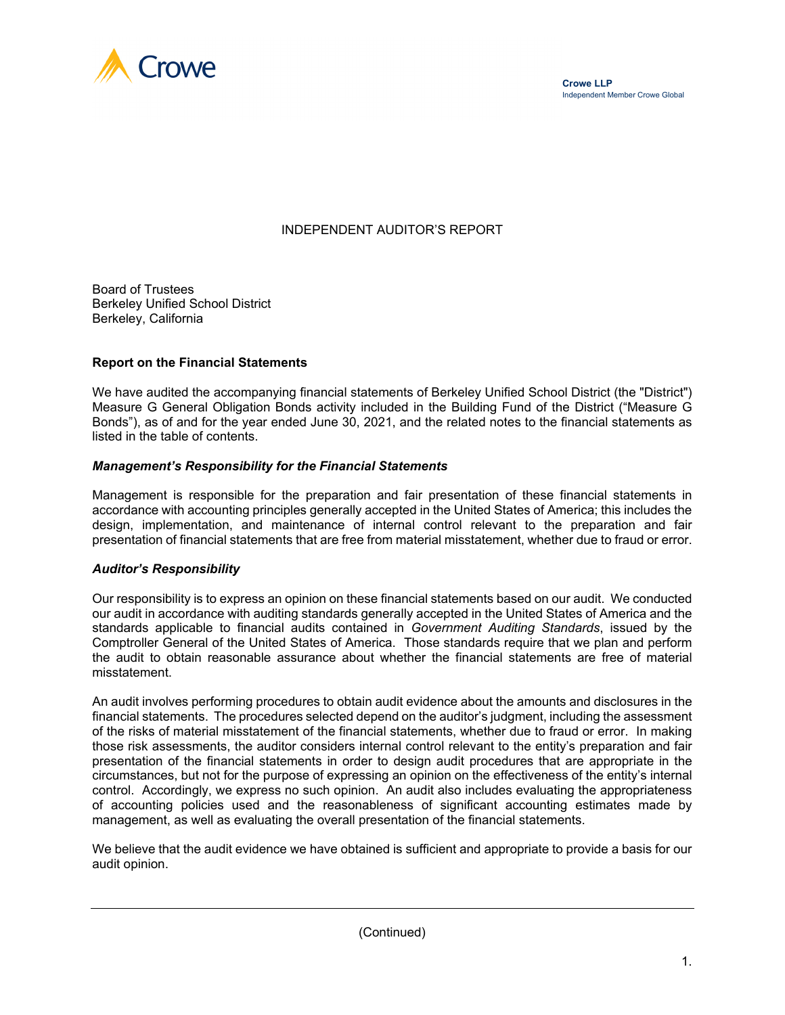

## INDEPENDENT AUDITOR'S REPORT

Board of Trustees Berkeley Unified School District Berkeley, California

#### **Report on the Financial Statements**

We have audited the accompanying financial statements of Berkeley Unified School District (the "District") Measure G General Obligation Bonds activity included in the Building Fund of the District ("Measure G Bonds"), as of and for the year ended June 30, 2021, and the related notes to the financial statements as listed in the table of contents.

#### *Management's Responsibility for the Financial Statements*

Management is responsible for the preparation and fair presentation of these financial statements in accordance with accounting principles generally accepted in the United States of America; this includes the design, implementation, and maintenance of internal control relevant to the preparation and fair presentation of financial statements that are free from material misstatement, whether due to fraud or error.

#### *Auditor's Responsibility*

Our responsibility is to express an opinion on these financial statements based on our audit. We conducted our audit in accordance with auditing standards generally accepted in the United States of America and the standards applicable to financial audits contained in *Government Auditing Standards*, issued by the Comptroller General of the United States of America. Those standards require that we plan and perform the audit to obtain reasonable assurance about whether the financial statements are free of material misstatement.

An audit involves performing procedures to obtain audit evidence about the amounts and disclosures in the financial statements. The procedures selected depend on the auditor's judgment, including the assessment of the risks of material misstatement of the financial statements, whether due to fraud or error. In making those risk assessments, the auditor considers internal control relevant to the entity's preparation and fair presentation of the financial statements in order to design audit procedures that are appropriate in the circumstances, but not for the purpose of expressing an opinion on the effectiveness of the entity's internal control. Accordingly, we express no such opinion. An audit also includes evaluating the appropriateness of accounting policies used and the reasonableness of significant accounting estimates made by management, as well as evaluating the overall presentation of the financial statements.

We believe that the audit evidence we have obtained is sufficient and appropriate to provide a basis for our audit opinion.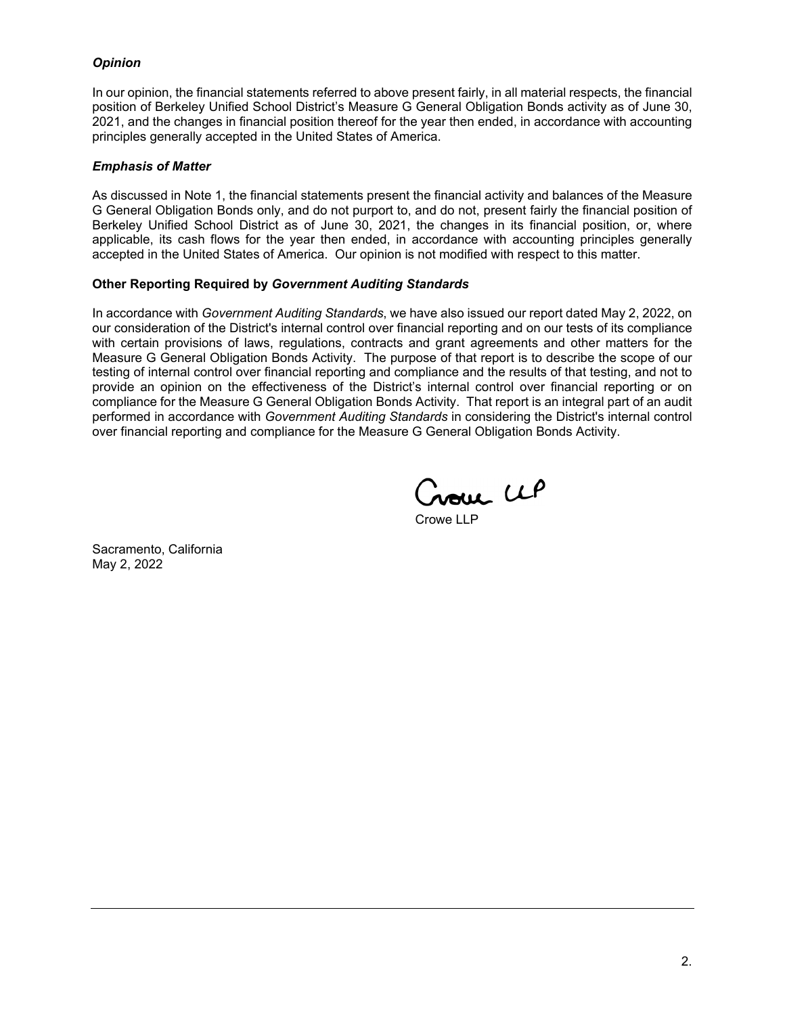#### *Opinion*

In our opinion, the financial statements referred to above present fairly, in all material respects, the financial position of Berkeley Unified School District's Measure G General Obligation Bonds activity as of June 30, 2021, and the changes in financial position thereof for the year then ended, in accordance with accounting principles generally accepted in the United States of America.

#### *Emphasis of Matter*

As discussed in Note 1, the financial statements present the financial activity and balances of the Measure G General Obligation Bonds only, and do not purport to, and do not, present fairly the financial position of Berkeley Unified School District as of June 30, 2021, the changes in its financial position, or, where applicable, its cash flows for the year then ended, in accordance with accounting principles generally accepted in the United States of America. Our opinion is not modified with respect to this matter.

#### **Other Reporting Required by** *Government Auditing Standards*

In accordance with *Government Auditing Standards*, we have also issued our report dated May 2, 2022, on our consideration of the District's internal control over financial reporting and on our tests of its compliance with certain provisions of laws, regulations, contracts and grant agreements and other matters for the Measure G General Obligation Bonds Activity. The purpose of that report is to describe the scope of our testing of internal control over financial reporting and compliance and the results of that testing, and not to provide an opinion on the effectiveness of the District's internal control over financial reporting or on compliance for the Measure G General Obligation Bonds Activity. That report is an integral part of an audit performed in accordance with *Government Auditing Standards* in considering the District's internal control over financial reporting and compliance for the Measure G General Obligation Bonds Activity.

noue UP

Crowe LLP

Sacramento, California May 2, 2022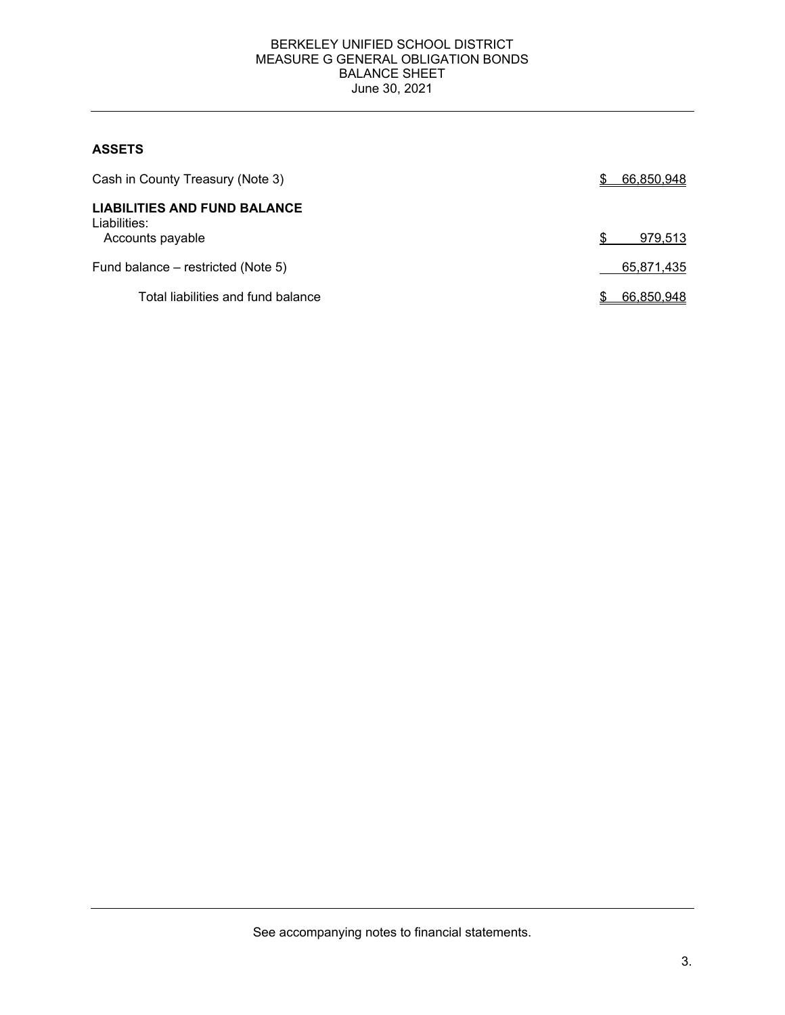#### BERKELEY UNIFIED SCHOOL DISTRICT MEASURE G GENERAL OBLIGATION BONDS BALANCE SHEET June 30, 2021

## **ASSETS**

| Cash in County Treasury (Note 3)                    | 66,850,948 |
|-----------------------------------------------------|------------|
| <b>LIABILITIES AND FUND BALANCE</b><br>Liabilities: |            |
| Accounts payable                                    | 979,513    |
| Fund balance - restricted (Note 5)                  | 65,871,435 |
| Total liabilities and fund balance                  | 66,850,948 |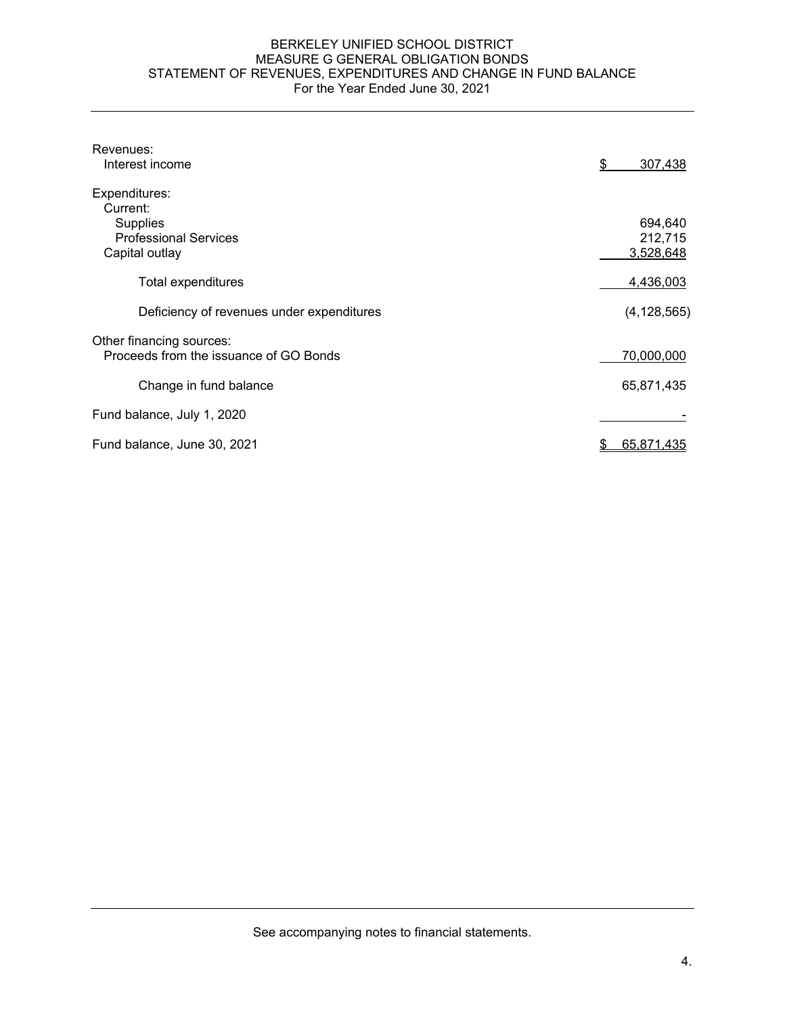#### BERKELEY UNIFIED SCHOOL DISTRICT MEASURE G GENERAL OBLIGATION BONDS STATEMENT OF REVENUES, EXPENDITURES AND CHANGE IN FUND BALANCE For the Year Ended June 30, 2021

| Revenues:<br>Interest income              | \$<br>307,438 |
|-------------------------------------------|---------------|
| Expenditures:                             |               |
| Current:<br><b>Supplies</b>               | 694,640       |
| <b>Professional Services</b>              | 212,715       |
| Capital outlay                            | 3,528,648     |
| Total expenditures                        | 4,436,003     |
| Deficiency of revenues under expenditures | (4, 128, 565) |
| Other financing sources:                  |               |
| Proceeds from the issuance of GO Bonds    | 70,000,000    |
| Change in fund balance                    | 65,871,435    |
| Fund balance, July 1, 2020                |               |
| Fund balance, June 30, 2021               | 65,871,435    |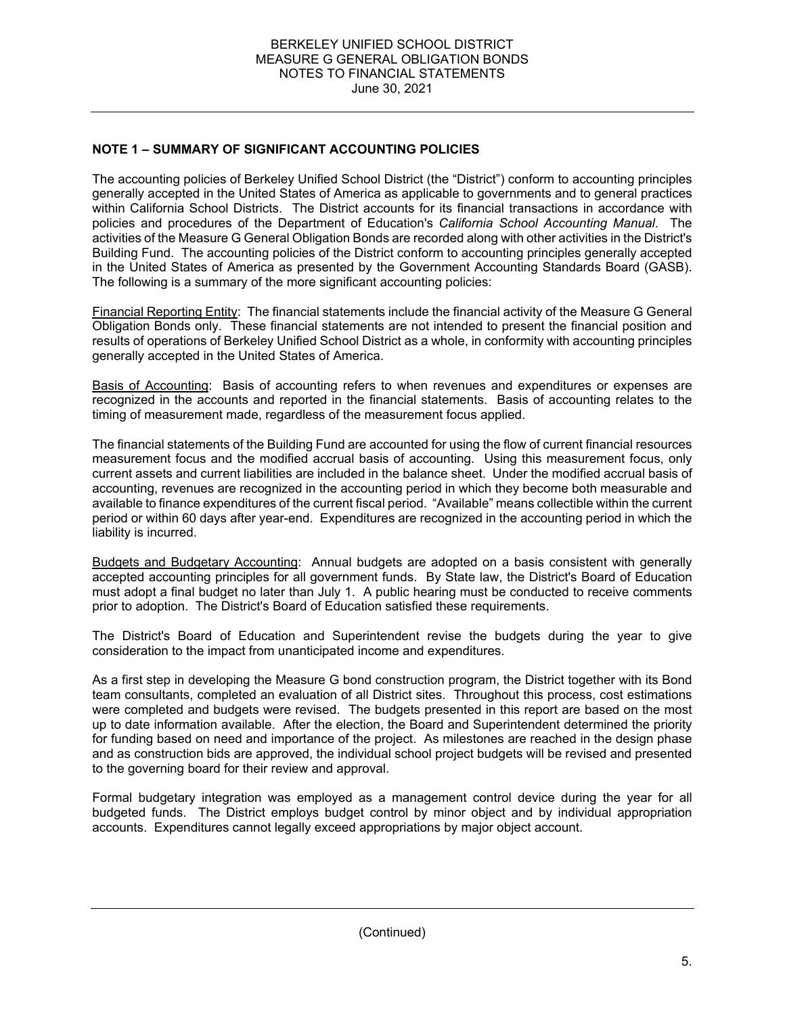## **NOTE 1 – SUMMARY OF SIGNIFICANT ACCOUNTING POLICIES**

The accounting policies of Berkeley Unified School District (the "District") conform to accounting principles generally accepted in the United States of America as applicable to governments and to general practices within California School Districts. The District accounts for its financial transactions in accordance with policies and procedures of the Department of Education's *California School Accounting Manual*. The activities of the Measure G General Obligation Bonds are recorded along with other activities in the District's Building Fund. The accounting policies of the District conform to accounting principles generally accepted in the United States of America as presented by the Government Accounting Standards Board (GASB). The following is a summary of the more significant accounting policies:

Financial Reporting Entity: The financial statements include the financial activity of the Measure G General Obligation Bonds only. These financial statements are not intended to present the financial position and results of operations of Berkeley Unified School District as a whole, in conformity with accounting principles generally accepted in the United States of America.

Basis of Accounting: Basis of accounting refers to when revenues and expenditures or expenses are recognized in the accounts and reported in the financial statements. Basis of accounting relates to the timing of measurement made, regardless of the measurement focus applied.

The financial statements of the Building Fund are accounted for using the flow of current financial resources measurement focus and the modified accrual basis of accounting. Using this measurement focus, only current assets and current liabilities are included in the balance sheet. Under the modified accrual basis of accounting, revenues are recognized in the accounting period in which they become both measurable and available to finance expenditures of the current fiscal period. "Available" means collectible within the current period or within 60 days after year-end. Expenditures are recognized in the accounting period in which the liability is incurred.

Budgets and Budgetary Accounting: Annual budgets are adopted on a basis consistent with generally accepted accounting principles for all government funds. By State law, the District's Board of Education must adopt a final budget no later than July 1. A public hearing must be conducted to receive comments prior to adoption. The District's Board of Education satisfied these requirements.

The District's Board of Education and Superintendent revise the budgets during the year to give consideration to the impact from unanticipated income and expenditures.

As a first step in developing the Measure G bond construction program, the District together with its Bond team consultants, completed an evaluation of all District sites. Throughout this process, cost estimations were completed and budgets were revised. The budgets presented in this report are based on the most up to date information available. After the election, the Board and Superintendent determined the priority for funding based on need and importance of the project. As milestones are reached in the design phase and as construction bids are approved, the individual school project budgets will be revised and presented to the governing board for their review and approval.

Formal budgetary integration was employed as a management control device during the year for all budgeted funds. The District employs budget control by minor object and by individual appropriation accounts. Expenditures cannot legally exceed appropriations by major object account.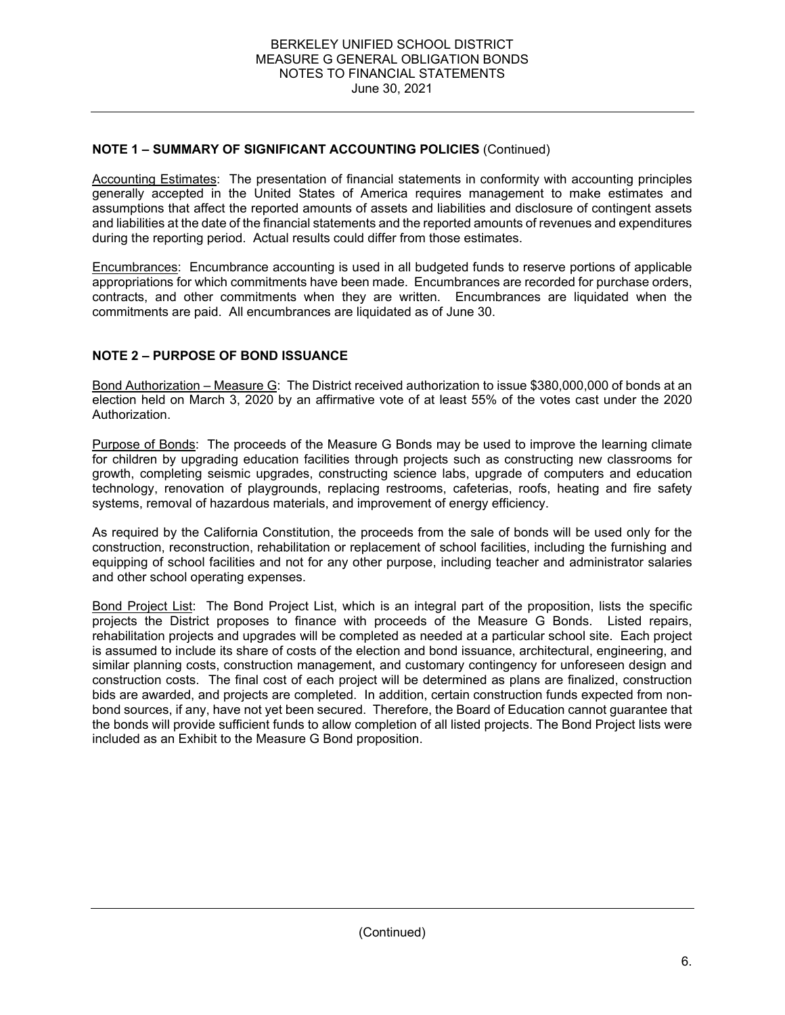## **NOTE 1 – SUMMARY OF SIGNIFICANT ACCOUNTING POLICIES** (Continued)

Accounting Estimates: The presentation of financial statements in conformity with accounting principles generally accepted in the United States of America requires management to make estimates and assumptions that affect the reported amounts of assets and liabilities and disclosure of contingent assets and liabilities at the date of the financial statements and the reported amounts of revenues and expenditures during the reporting period. Actual results could differ from those estimates.

Encumbrances: Encumbrance accounting is used in all budgeted funds to reserve portions of applicable appropriations for which commitments have been made. Encumbrances are recorded for purchase orders, contracts, and other commitments when they are written. Encumbrances are liquidated when the commitments are paid. All encumbrances are liquidated as of June 30.

## **NOTE 2 – PURPOSE OF BOND ISSUANCE**

Bond Authorization – Measure G: The District received authorization to issue \$380,000,000 of bonds at an election held on March 3, 2020 by an affirmative vote of at least 55% of the votes cast under the 2020 Authorization.

Purpose of Bonds: The proceeds of the Measure G Bonds may be used to improve the learning climate for children by upgrading education facilities through projects such as constructing new classrooms for growth, completing seismic upgrades, constructing science labs, upgrade of computers and education technology, renovation of playgrounds, replacing restrooms, cafeterias, roofs, heating and fire safety systems, removal of hazardous materials, and improvement of energy efficiency.

As required by the California Constitution, the proceeds from the sale of bonds will be used only for the construction, reconstruction, rehabilitation or replacement of school facilities, including the furnishing and equipping of school facilities and not for any other purpose, including teacher and administrator salaries and other school operating expenses.

Bond Project List: The Bond Project List, which is an integral part of the proposition, lists the specific projects the District proposes to finance with proceeds of the Measure G Bonds. Listed repairs, rehabilitation projects and upgrades will be completed as needed at a particular school site. Each project is assumed to include its share of costs of the election and bond issuance, architectural, engineering, and similar planning costs, construction management, and customary contingency for unforeseen design and construction costs. The final cost of each project will be determined as plans are finalized, construction bids are awarded, and projects are completed. In addition, certain construction funds expected from nonbond sources, if any, have not yet been secured. Therefore, the Board of Education cannot guarantee that the bonds will provide sufficient funds to allow completion of all listed projects. The Bond Project lists were included as an Exhibit to the Measure G Bond proposition.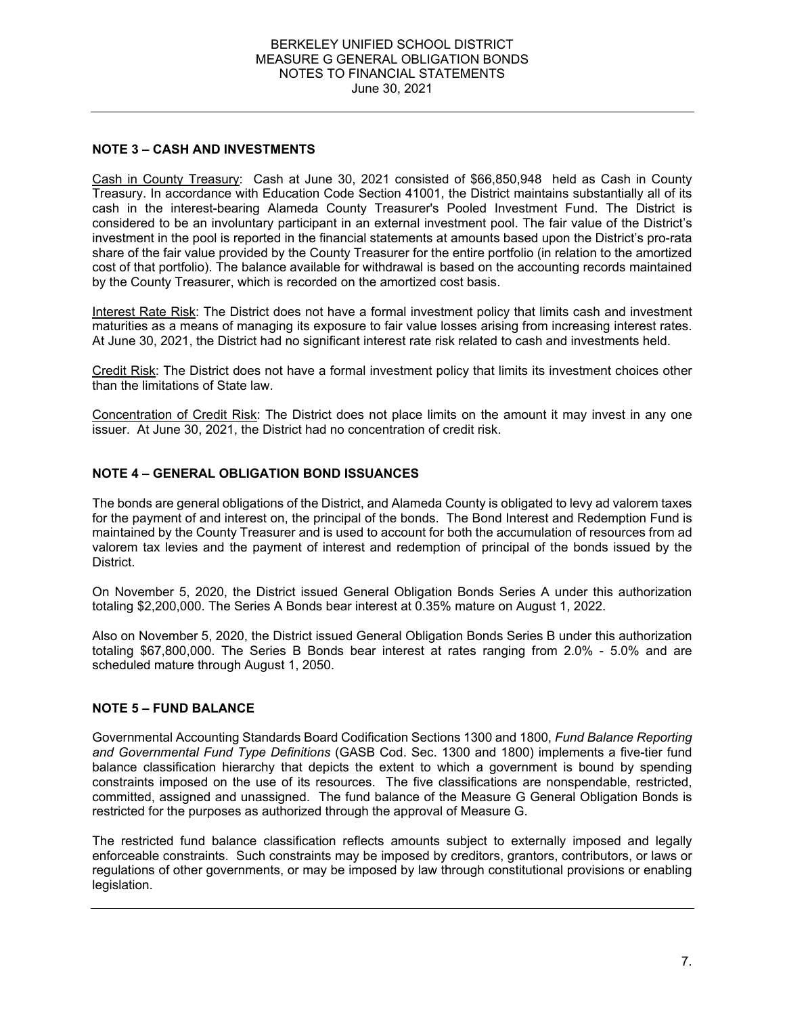#### BERKELEY UNIFIED SCHOOL DISTRICT MEASURE G GENERAL OBLIGATION BONDS NOTES TO FINANCIAL STATEMENTS June 30, 2021

## **NOTE 3 – CASH AND INVESTMENTS**

Cash in County Treasury: Cash at June 30, 2021 consisted of \$66,850,948 held as Cash in County Treasury. In accordance with Education Code Section 41001, the District maintains substantially all of its cash in the interest-bearing Alameda County Treasurer's Pooled Investment Fund. The District is considered to be an involuntary participant in an external investment pool. The fair value of the District's investment in the pool is reported in the financial statements at amounts based upon the District's pro-rata share of the fair value provided by the County Treasurer for the entire portfolio (in relation to the amortized cost of that portfolio). The balance available for withdrawal is based on the accounting records maintained by the County Treasurer, which is recorded on the amortized cost basis.

Interest Rate Risk: The District does not have a formal investment policy that limits cash and investment maturities as a means of managing its exposure to fair value losses arising from increasing interest rates. At June 30, 2021, the District had no significant interest rate risk related to cash and investments held.

Credit Risk: The District does not have a formal investment policy that limits its investment choices other than the limitations of State law.

Concentration of Credit Risk: The District does not place limits on the amount it may invest in any one issuer. At June 30, 2021, the District had no concentration of credit risk.

## **NOTE 4 – GENERAL OBLIGATION BOND ISSUANCES**

The bonds are general obligations of the District, and Alameda County is obligated to levy ad valorem taxes for the payment of and interest on, the principal of the bonds. The Bond Interest and Redemption Fund is maintained by the County Treasurer and is used to account for both the accumulation of resources from ad valorem tax levies and the payment of interest and redemption of principal of the bonds issued by the District.

On November 5, 2020, the District issued General Obligation Bonds Series A under this authorization totaling \$2,200,000. The Series A Bonds bear interest at 0.35% mature on August 1, 2022.

Also on November 5, 2020, the District issued General Obligation Bonds Series B under this authorization totaling \$67,800,000. The Series B Bonds bear interest at rates ranging from 2.0% - 5.0% and are scheduled mature through August 1, 2050.

## **NOTE 5 – FUND BALANCE**

Governmental Accounting Standards Board Codification Sections 1300 and 1800, *Fund Balance Reporting and Governmental Fund Type Definitions* (GASB Cod. Sec. 1300 and 1800) implements a five-tier fund balance classification hierarchy that depicts the extent to which a government is bound by spending constraints imposed on the use of its resources. The five classifications are nonspendable, restricted, committed, assigned and unassigned. The fund balance of the Measure G General Obligation Bonds is restricted for the purposes as authorized through the approval of Measure G.

The restricted fund balance classification reflects amounts subject to externally imposed and legally enforceable constraints. Such constraints may be imposed by creditors, grantors, contributors, or laws or regulations of other governments, or may be imposed by law through constitutional provisions or enabling legislation.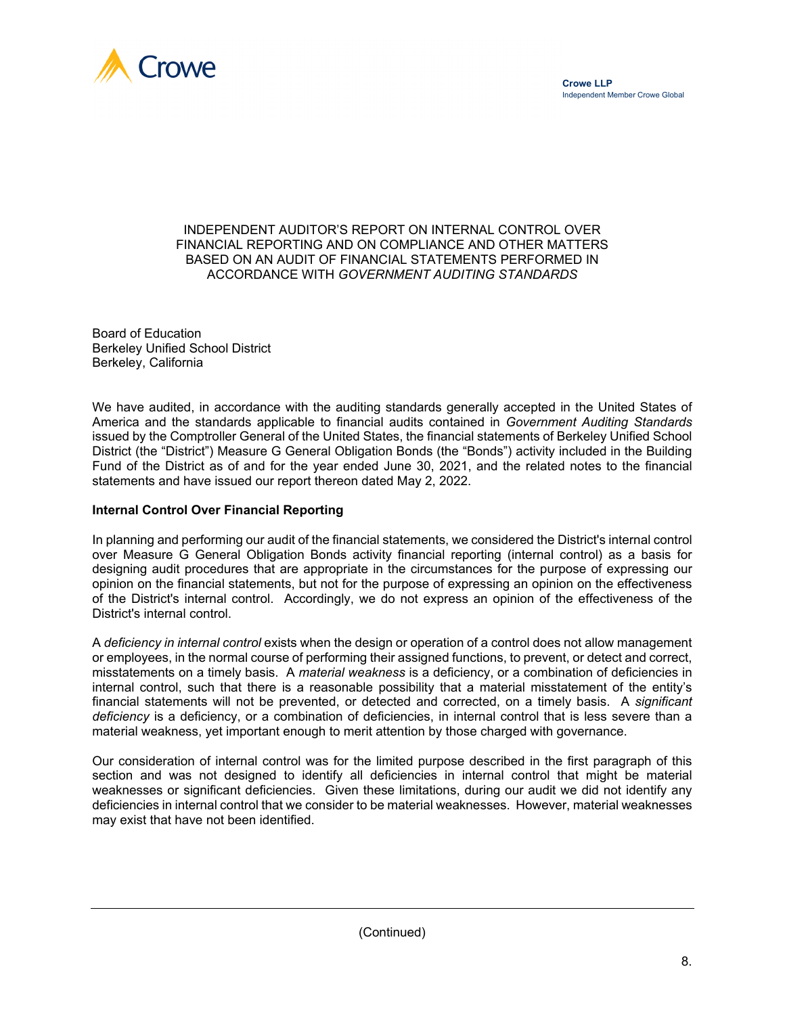



#### INDEPENDENT AUDITOR'S REPORT ON INTERNAL CONTROL OVER FINANCIAL REPORTING AND ON COMPLIANCE AND OTHER MATTERS BASED ON AN AUDIT OF FINANCIAL STATEMENTS PERFORMED IN ACCORDANCE WITH *GOVERNMENT AUDITING STANDARDS*

Board of Education Berkeley Unified School District Berkeley, California

We have audited, in accordance with the auditing standards generally accepted in the United States of America and the standards applicable to financial audits contained in *Government Auditing Standards* issued by the Comptroller General of the United States, the financial statements of Berkeley Unified School District (the "District") Measure G General Obligation Bonds (the "Bonds") activity included in the Building Fund of the District as of and for the year ended June 30, 2021, and the related notes to the financial statements and have issued our report thereon dated May 2, 2022.

## **Internal Control Over Financial Reporting**

In planning and performing our audit of the financial statements, we considered the District's internal control over Measure G General Obligation Bonds activity financial reporting (internal control) as a basis for designing audit procedures that are appropriate in the circumstances for the purpose of expressing our opinion on the financial statements, but not for the purpose of expressing an opinion on the effectiveness of the District's internal control. Accordingly, we do not express an opinion of the effectiveness of the District's internal control.

A *deficiency in internal control* exists when the design or operation of a control does not allow management or employees, in the normal course of performing their assigned functions, to prevent, or detect and correct, misstatements on a timely basis. A *material weakness* is a deficiency, or a combination of deficiencies in internal control, such that there is a reasonable possibility that a material misstatement of the entity's financial statements will not be prevented, or detected and corrected, on a timely basis. A *significant deficiency* is a deficiency, or a combination of deficiencies, in internal control that is less severe than a material weakness, yet important enough to merit attention by those charged with governance.

Our consideration of internal control was for the limited purpose described in the first paragraph of this section and was not designed to identify all deficiencies in internal control that might be material weaknesses or significant deficiencies. Given these limitations, during our audit we did not identify any deficiencies in internal control that we consider to be material weaknesses. However, material weaknesses may exist that have not been identified.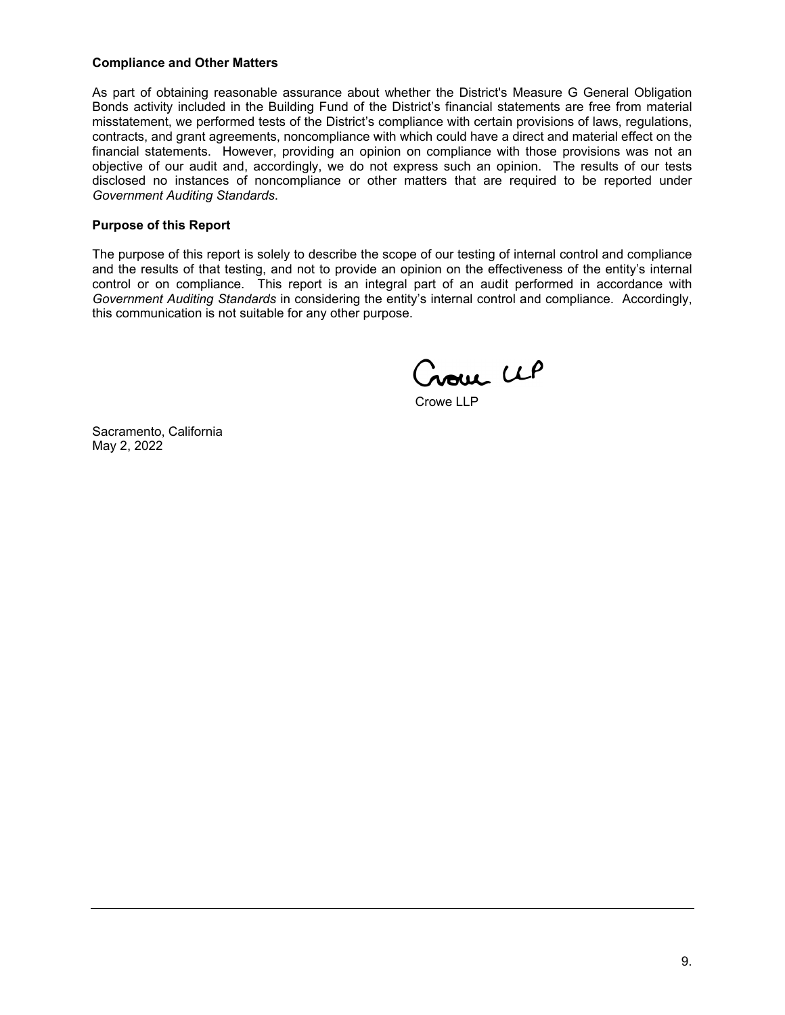#### **Compliance and Other Matters**

As part of obtaining reasonable assurance about whether the District's Measure G General Obligation Bonds activity included in the Building Fund of the District's financial statements are free from material misstatement, we performed tests of the District's compliance with certain provisions of laws, regulations, contracts, and grant agreements, noncompliance with which could have a direct and material effect on the financial statements. However, providing an opinion on compliance with those provisions was not an objective of our audit and, accordingly, we do not express such an opinion. The results of our tests disclosed no instances of noncompliance or other matters that are required to be reported under *Government Auditing Standards*.

#### **Purpose of this Report**

The purpose of this report is solely to describe the scope of our testing of internal control and compliance and the results of that testing, and not to provide an opinion on the effectiveness of the entity's internal control or on compliance. This report is an integral part of an audit performed in accordance with *Government Auditing Standards* in considering the entity's internal control and compliance. Accordingly, this communication is not suitable for any other purpose.

Croue CLP

Crowe LLP

Sacramento, California May 2, 2022